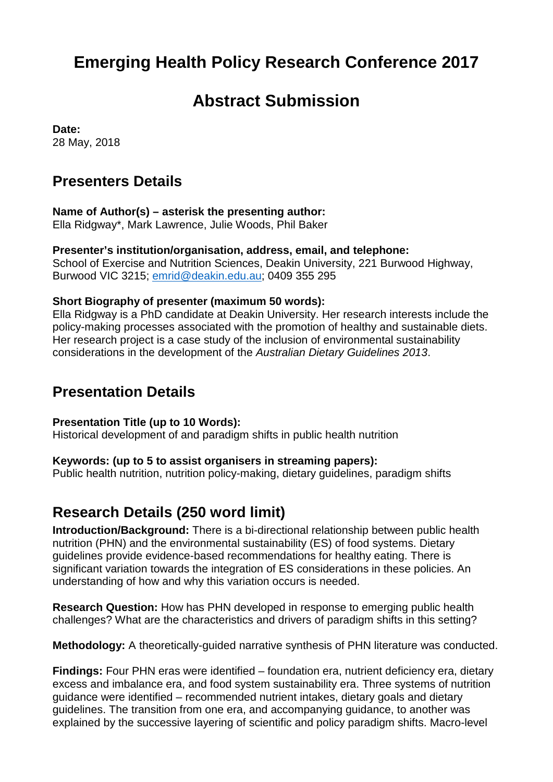# **Emerging Health Policy Research Conference 2017**

## **Abstract Submission**

**Date:** 28 May, 2018

### **Presenters Details**

### **Name of Author(s) – asterisk the presenting author:**

Ella Ridgway\*, Mark Lawrence, Julie Woods, Phil Baker

#### **Presenter's institution/organisation, address, email, and telephone:**

School of Exercise and Nutrition Sciences, Deakin University, 221 Burwood Highway, Burwood VIC 3215; [emrid@deakin.edu.au;](mailto:emrid@deakin.edu.au) 0409 355 295

#### **Short Biography of presenter (maximum 50 words):**

Ella Ridgway is a PhD candidate at Deakin University. Her research interests include the policy-making processes associated with the promotion of healthy and sustainable diets. Her research project is a case study of the inclusion of environmental sustainability considerations in the development of the *Australian Dietary Guidelines 2013*.

## **Presentation Details**

#### **Presentation Title (up to 10 Words):**

Historical development of and paradigm shifts in public health nutrition

#### **Keywords: (up to 5 to assist organisers in streaming papers):**

Public health nutrition, nutrition policy-making, dietary guidelines, paradigm shifts

## **Research Details (250 word limit)**

**Introduction/Background:** There is a bi-directional relationship between public health nutrition (PHN) and the environmental sustainability (ES) of food systems. Dietary guidelines provide evidence-based recommendations for healthy eating. There is significant variation towards the integration of ES considerations in these policies. An understanding of how and why this variation occurs is needed.

**Research Question:** How has PHN developed in response to emerging public health challenges? What are the characteristics and drivers of paradigm shifts in this setting?

**Methodology:** A theoretically-guided narrative synthesis of PHN literature was conducted.

**Findings:** Four PHN eras were identified – foundation era, nutrient deficiency era, dietary excess and imbalance era, and food system sustainability era. Three systems of nutrition guidance were identified – recommended nutrient intakes, dietary goals and dietary guidelines. The transition from one era, and accompanying guidance, to another was explained by the successive layering of scientific and policy paradigm shifts. Macro-level